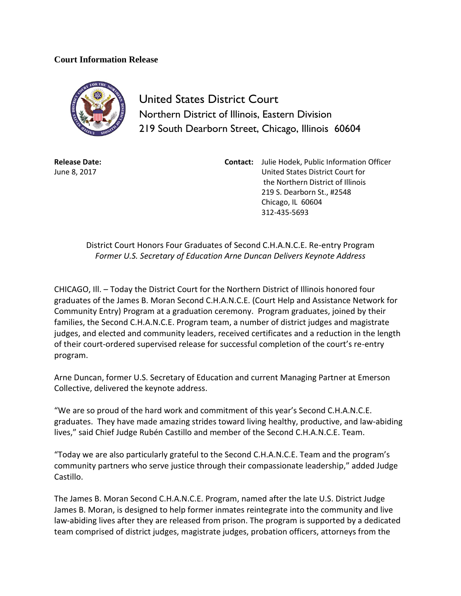## **Court Information Release**



United States District Court Northern District of Illinois, Eastern Division 219 South Dearborn Street, Chicago, Illinois 60604

**Release Date:** June 8, 2017

**Contact:** Julie Hodek, Public Information Officer United States District Court for the Northern District of Illinois 219 S. Dearborn St., #2548 Chicago, IL 60604 312-435-5693

District Court Honors Four Graduates of Second C.H.A.N.C.E. Re-entry Program *Former U.S. Secretary of Education Arne Duncan Delivers Keynote Address*

CHICAGO, Ill. – Today the District Court for the Northern District of Illinois honored four graduates of the James B. Moran Second C.H.A.N.C.E. (Court Help and Assistance Network for Community Entry) Program at a graduation ceremony. Program graduates, joined by their families, the Second C.H.A.N.C.E. Program team, a number of district judges and magistrate judges, and elected and community leaders, received certificates and a reduction in the length of their court-ordered supervised release for successful completion of the court's re-entry program.

Arne Duncan, former U.S. Secretary of Education and current Managing Partner at Emerson Collective, delivered the keynote address.

"We are so proud of the hard work and commitment of this year's Second C.H.A.N.C.E. graduates. They have made amazing strides toward living healthy, productive, and law-abiding lives," said Chief Judge Rubén Castillo and member of the Second C.H.A.N.C.E. Team.

"Today we are also particularly grateful to the Second C.H.A.N.C.E. Team and the program's community partners who serve justice through their compassionate leadership," added Judge Castillo.

The James B. Moran Second C.H.A.N.C.E. Program, named after the late U.S. District Judge James B. Moran, is designed to help former inmates reintegrate into the community and live law-abiding lives after they are released from prison. The program is supported by a dedicated team comprised of district judges, magistrate judges, probation officers, attorneys from the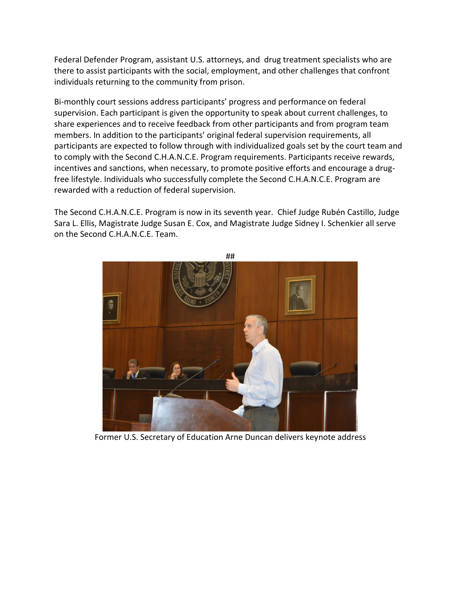Federal Defender Program, assistant U.S. attorneys, and drug treatment specialists who are there to assist participants with the social, employment, and other challenges that confront individuals returning to the community from prison.

Bi-monthly court sessions address participants' progress and performance on federal supervision. Each participant is given the opportunity to speak about current challenges, to share experiences and to receive feedback from other participants and from program team members. In addition to the participants' original federal supervision requirements, all participants are expected to follow through with individualized goals set by the court team and to comply with the Second C.H.A.N.C.E. Program requirements. Participants receive rewards, incentives and sanctions, when necessary, to promote positive efforts and encourage a drugfree lifestyle. Individuals who successfully complete the Second C.H.A.N.C.E. Program are rewarded with a reduction of federal supervision.

The Second C.H.A.N.C.E. Program is now in its seventh year. Chief Judge Rubén Castillo, Judge Sara L. Ellis, Magistrate Judge Susan E. Cox, and Magistrate Judge Sidney I. Schenkier all serve on the Second C.H.A.N.C.E. Team.



Former U.S. Secretary of Education Arne Duncan delivers keynote address